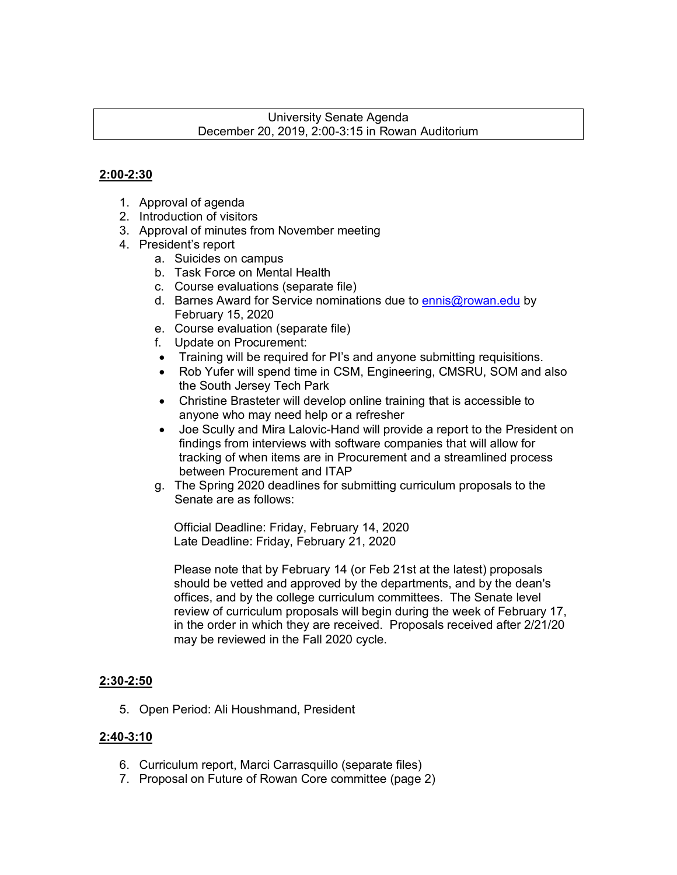#### University Senate Agenda December 20, 2019, 2:00-3:15 in Rowan Auditorium

#### **2:00-2:30**

- 1. Approval of agenda
- 2. Introduction of visitors
- 3. Approval of minutes from November meeting
- 4. President's report
	- a. Suicides on campus
	- b. Task Force on Mental Health
	- c. Course evaluations (separate file)
	- d. Barnes Award for Service nominations due to ennis@rowan.edu by February 15, 2020
	- e. Course evaluation (separate file)
	- f. Update on Procurement:
	- Training will be required for PI's and anyone submitting requisitions.
	- Rob Yufer will spend time in CSM, Engineering, CMSRU, SOM and also the South Jersey Tech Park
	- Christine Brasteter will develop online training that is accessible to anyone who may need help or a refresher
	- Joe Scully and Mira Lalovic-Hand will provide a report to the President on findings from interviews with software companies that will allow for tracking of when items are in Procurement and a streamlined process between Procurement and ITAP
	- g. The Spring 2020 deadlines for submitting curriculum proposals to the Senate are as follows:

Official Deadline: Friday, February 14, 2020 Late Deadline: Friday, February 21, 2020

Please note that by February 14 (or Feb 21st at the latest) proposals should be vetted and approved by the departments, and by the dean's offices, and by the college curriculum committees. The Senate level review of curriculum proposals will begin during the week of February 17, in the order in which they are received. Proposals received after 2/21/20 may be reviewed in the Fall 2020 cycle.

#### **2:30-2:50**

5. Open Period: Ali Houshmand, President

#### **2:40-3:10**

- 6. Curriculum report, Marci Carrasquillo (separate files)
- 7. Proposal on Future of Rowan Core committee (page 2)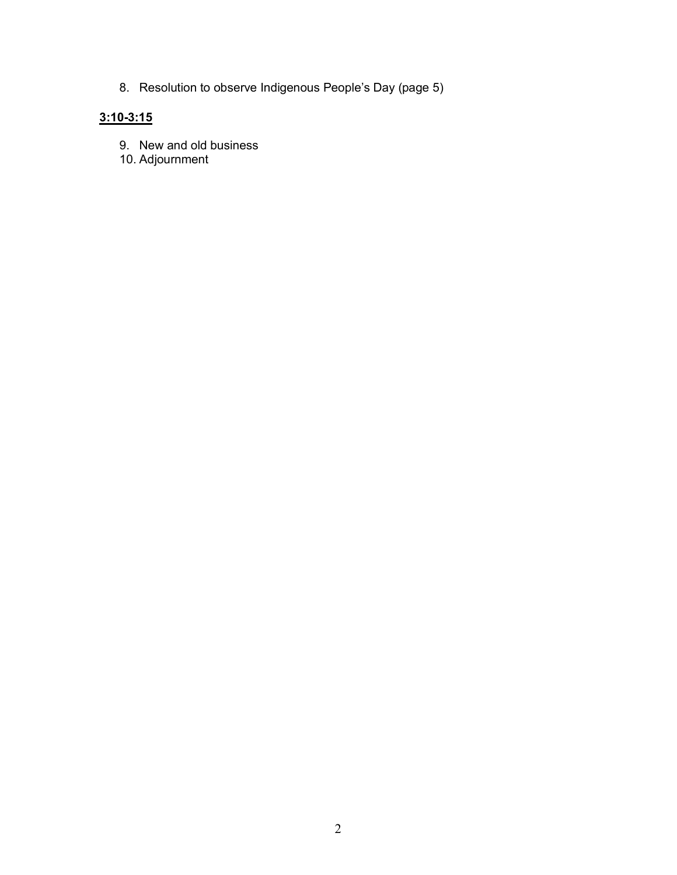8. Resolution to observe Indigenous People's Day (page 5)

### **3:10-3:15**

- 9. New and old business
- 10. Adjournment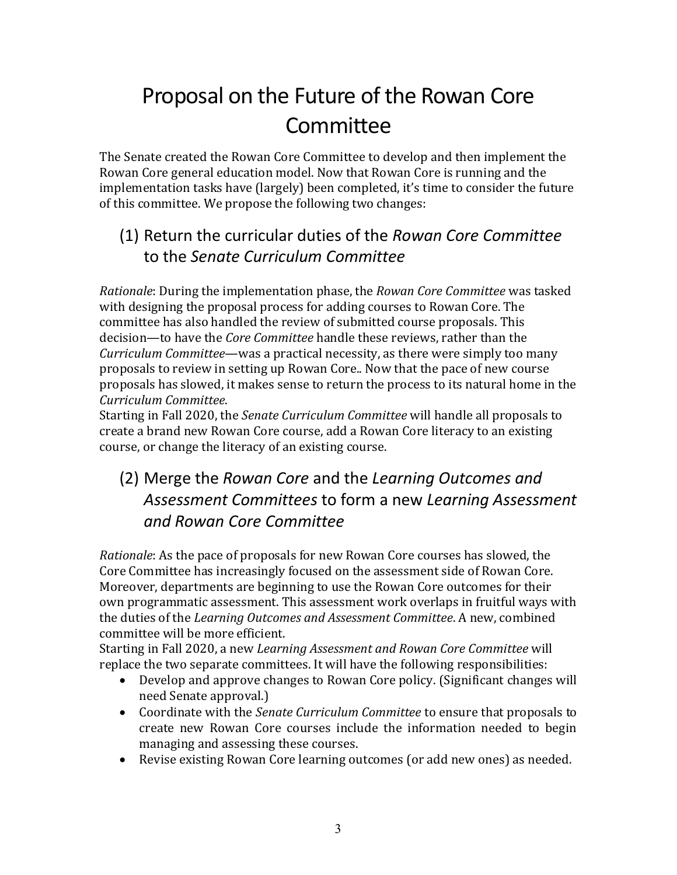# Proposal on the Future of the Rowan Core Committee

The Senate created the Rowan Core Committee to develop and then implement the Rowan Core general education model. Now that Rowan Core is running and the implementation tasks have (largely) been completed, it's time to consider the future of this committee. We propose the following two changes:

# (1) Return the curricular duties of the *Rowan Core Committee* to the *Senate Curriculum Committee*

*Rationale*: During the implementation phase, the *Rowan Core Committee* was tasked with designing the proposal process for adding courses to Rowan Core. The committee has also handled the review of submitted course proposals. This decision—to have the *Core Committee* handle these reviews, rather than the *Curriculum Committee*—was a practical necessity, as there were simply too many proposals to review in setting up Rowan Core.. Now that the pace of new course proposals has slowed, it makes sense to return the process to its natural home in the *Curriculum Committee*.

Starting in Fall 2020, the *Senate Curriculum Committee* will handle all proposals to create a brand new Rowan Core course, add a Rowan Core literacy to an existing course, or change the literacy of an existing course.

# (2) Merge the *Rowan Core* and the *Learning Outcomes and Assessment Committees* to form a new *Learning Assessment and Rowan Core Committee*

*Rationale*: As the pace of proposals for new Rowan Core courses has slowed, the Core Committee has increasingly focused on the assessment side of Rowan Core. Moreover, departments are beginning to use the Rowan Core outcomes for their own programmatic assessment. This assessment work overlaps in fruitful ways with the duties of the *Learning Outcomes and Assessment Committee*. A new, combined committee will be more efficient.

Starting in Fall 2020, a new *Learning Assessment and Rowan Core Committee* will replace the two separate committees. It will have the following responsibilities:

- Develop and approve changes to Rowan Core policy. (Significant changes will need Senate approval.)
- Coordinate with the *Senate Curriculum Committee* to ensure that proposals to create new Rowan Core courses include the information needed to begin managing and assessing these courses.
- Revise existing Rowan Core learning outcomes (or add new ones) as needed.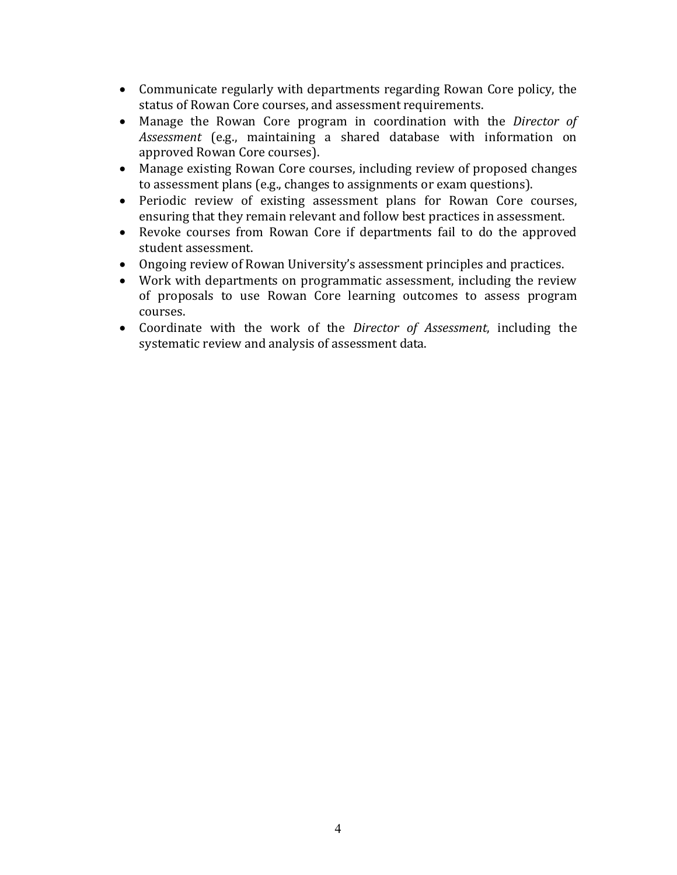- Communicate regularly with departments regarding Rowan Core policy, the status of Rowan Core courses, and assessment requirements.
- Manage the Rowan Core program in coordination with the *Director of Assessment* (e.g., maintaining a shared database with information on approved Rowan Core courses).
- Manage existing Rowan Core courses, including review of proposed changes to assessment plans (e.g., changes to assignments or exam questions).
- Periodic review of existing assessment plans for Rowan Core courses, ensuring that they remain relevant and follow best practices in assessment.
- Revoke courses from Rowan Core if departments fail to do the approved student assessment.
- Ongoing review of Rowan University's assessment principles and practices.
- Work with departments on programmatic assessment, including the review of proposals to use Rowan Core learning outcomes to assess program courses.
- Coordinate with the work of the *Director of Assessment*, including the systematic review and analysis of assessment data.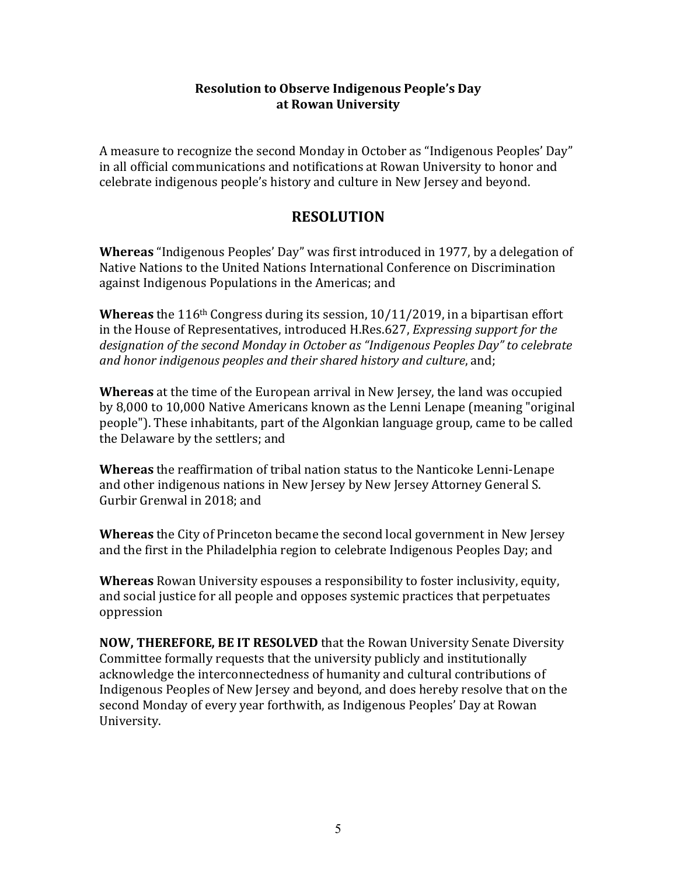#### **Resolution to Observe Indigenous People's Day at Rowan University**

A measure to recognize the second Monday in October as "Indigenous Peoples' Day" in all official communications and notifications at Rowan University to honor and celebrate indigenous people's history and culture in New Jersey and beyond.

#### **RESOLUTION**

**Whereas** "Indigenous Peoples' Day" was first introduced in 1977, by a delegation of Native Nations to the United Nations International Conference on Discrimination against Indigenous Populations in the Americas; and

**Whereas** the 116<sup>th</sup> Congress during its session, 10/11/2019, in a bipartisan effort in the House of Representatives, introduced H.Res.627, *Expressing support for the* designation of the second Monday in October as "Indigenous Peoples Day" to celebrate and honor indigenous peoples and their shared history and culture, and;

**Whereas** at the time of the European arrival in New Jersey, the land was occupied by 8,000 to 10,000 Native Americans known as the Lenni Lenape (meaning "original people"). These inhabitants, part of the Algonkian language group, came to be called the Delaware by the settlers; and

**Whereas** the reaffirmation of tribal nation status to the Nanticoke Lenni-Lenape and other indigenous nations in New Jersey by New Jersey Attorney General S. Gurbir Grenwal in 2018; and

**Whereas** the City of Princeton became the second local government in New Jersey and the first in the Philadelphia region to celebrate Indigenous Peoples Day; and

**Whereas** Rowan University espouses a responsibility to foster inclusivity, equity, and social justice for all people and opposes systemic practices that perpetuates oppression

**NOW, THEREFORE, BE IT RESOLVED** that the Rowan University Senate Diversity Committee formally requests that the university publicly and institutionally acknowledge the interconnectedness of humanity and cultural contributions of Indigenous Peoples of New Jersey and beyond, and does hereby resolve that on the second Monday of every year forthwith, as Indigenous Peoples' Day at Rowan University.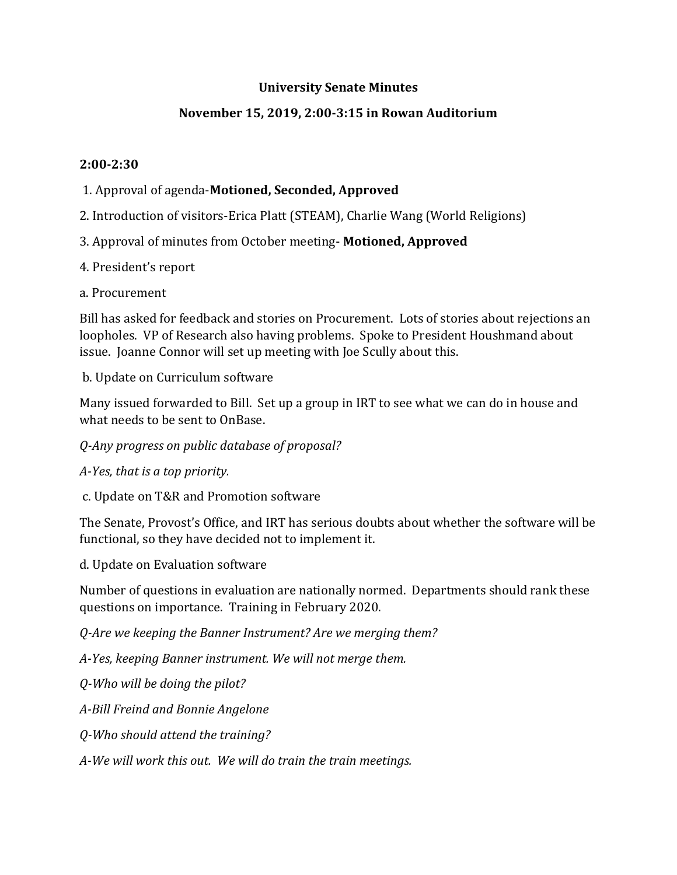#### **University Senate Minutes**

#### **November 15, 2019, 2:00-3:15 in Rowan Auditorium**

#### **2:00-2:30**

#### 1. Approval of agenda-**Motioned, Seconded, Approved**

- 2. Introduction of visitors-Erica Platt (STEAM), Charlie Wang (World Religions)
- 3. Approval of minutes from October meeting- **Motioned, Approved**
- 4. President's report
- a. Procurement

Bill has asked for feedback and stories on Procurement. Lots of stories about rejections an loopholes. VP of Research also having problems. Spoke to President Houshmand about issue. Joanne Connor will set up meeting with Joe Scully about this.

b. Update on Curriculum software

Many issued forwarded to Bill. Set up a group in IRT to see what we can do in house and what needs to be sent to OnBase.

#### *Q-Any progress on public database of proposal?*

*A-Yes, that is a top priority.*

c. Update on T&R and Promotion software

The Senate, Provost's Office, and IRT has serious doubts about whether the software will be functional, so they have decided not to implement it.

d. Update on Evaluation software

Number of questions in evaluation are nationally normed. Departments should rank these questions on importance. Training in February 2020.

*Q-Are we keeping the Banner Instrument? Are we merging them?*

*A-Yes, keeping Banner instrument. We will not merge them.*

*Q-Who will be doing the pilot?*

*A-Bill Freind and Bonnie Angelone* 

*Q-Who should attend the training?*

*A-We will work this out. We will do train the train meetings.*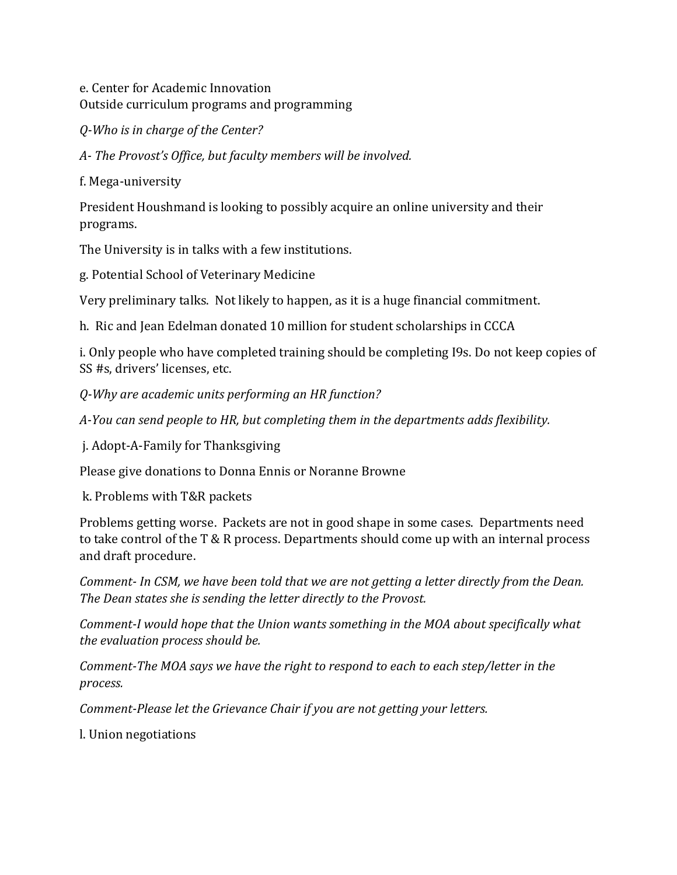e. Center for Academic Innovation Outside curriculum programs and programming

*Q-Who is in charge of the Center?*

*A- The Provost's Office, but faculty members will be involved.*

f. Mega-university

President Houshmand is looking to possibly acquire an online university and their programs.

The University is in talks with a few institutions.

g. Potential School of Veterinary Medicine

Very preliminary talks. Not likely to happen, as it is a huge financial commitment.

h. Ric and Jean Edelman donated 10 million for student scholarships in CCCA

i. Only people who have completed training should be completing I9s. Do not keep copies of SS #s, drivers' licenses, etc.

*Q-Why are academic units performing an HR function?*

*A-You can send people to HR, but completing them in the departments adds flexibility.*

j. Adopt-A-Family for Thanksgiving

Please give donations to Donna Ennis or Noranne Browne

k. Problems with T&R packets

Problems getting worse. Packets are not in good shape in some cases. Departments need to take control of the T & R process. Departments should come up with an internal process and draft procedure.

*Comment- In CSM, we have been told that we are not getting a letter directly from the Dean. The Dean states she is sending the letter directly to the Provost.* 

*Comment-I would hope that the Union wants something in the MOA about specifically what the evaluation process should be.*

*Comment-The MOA says we have the right to respond to each to each step/letter in the process.*

*Comment-Please let the Grievance Chair if you are not getting your letters.* 

l. Union negotiations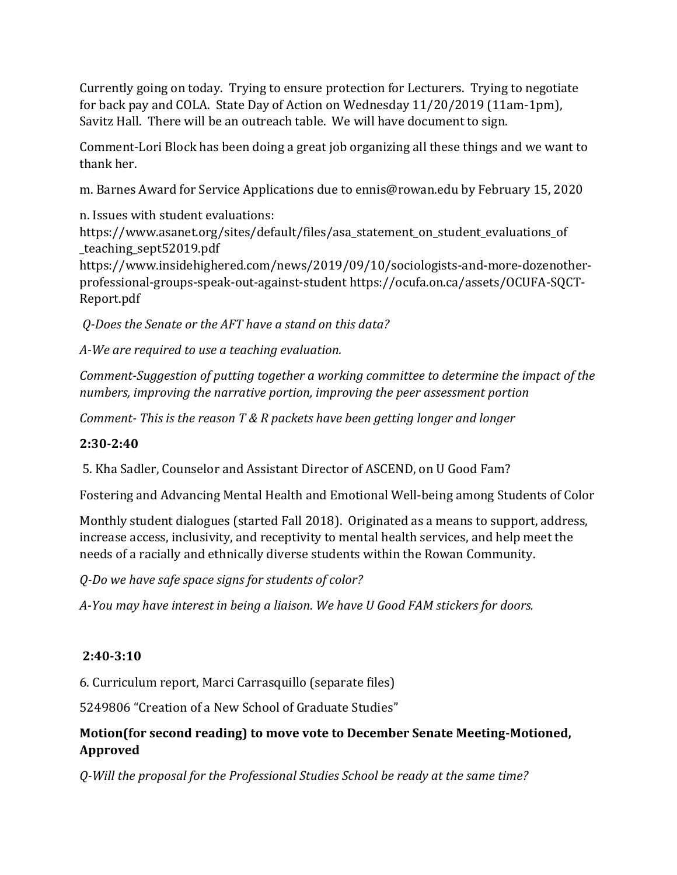Currently going on today. Trying to ensure protection for Lecturers. Trying to negotiate for back pay and COLA. State Day of Action on Wednesday 11/20/2019 (11am-1pm), Savitz Hall. There will be an outreach table. We will have document to sign.

Comment-Lori Block has been doing a great job organizing all these things and we want to thank her.

m. Barnes Award for Service Applications due to ennis@rowan.edu by February 15, 2020

n. Issues with student evaluations:

https://www.asanet.org/sites/default/files/asa\_statement\_on\_student\_evaluations\_of \_teaching\_sept52019.pdf

https://www.insidehighered.com/news/2019/09/10/sociologists-and-more-dozenotherprofessional-groups-speak-out-against-student https://ocufa.on.ca/assets/OCUFA-SQCT-Report.pdf

*Q-Does the Senate or the AFT have a stand on this data?*

*A-We are required to use a teaching evaluation.*

*Comment-Suggestion of putting together a working committee to determine the impact of the numbers, improving the narrative portion, improving the peer assessment portion*

*Comment- This is the reason T & R packets have been getting longer and longer*

# **2:30-2:40**

5. Kha Sadler, Counselor and Assistant Director of ASCEND, on U Good Fam?

Fostering and Advancing Mental Health and Emotional Well-being among Students of Color

Monthly student dialogues (started Fall 2018). Originated as a means to support, address, increase access, inclusivity, and receptivity to mental health services, and help meet the needs of a racially and ethnically diverse students within the Rowan Community.

*Q-Do we have safe space signs for students of color?*

*A-You may have interest in being a liaison. We have U Good FAM stickers for doors.* 

# **2:40-3:10**

6. Curriculum report, Marci Carrasquillo (separate files)

5249806 "Creation of a New School of Graduate Studies"

### **Motion(for second reading) to move vote to December Senate Meeting-Motioned, Approved**

*Q-Will the proposal for the Professional Studies School be ready at the same time?*